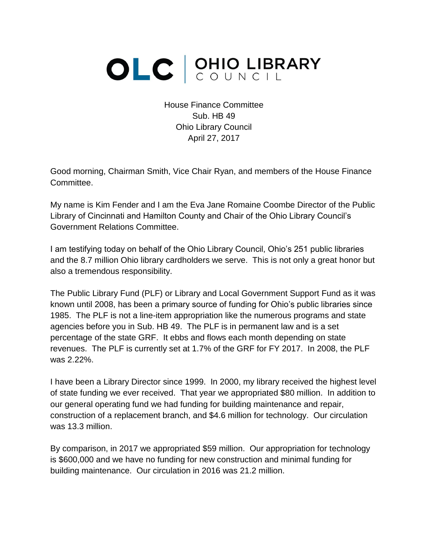## OLC CUNCIL

House Finance Committee Sub. HB 49 Ohio Library Council April 27, 2017

Good morning, Chairman Smith, Vice Chair Ryan, and members of the House Finance Committee.

My name is Kim Fender and I am the Eva Jane Romaine Coombe Director of the Public Library of Cincinnati and Hamilton County and Chair of the Ohio Library Council's Government Relations Committee.

I am testifying today on behalf of the Ohio Library Council, Ohio's 251 public libraries and the 8.7 million Ohio library cardholders we serve. This is not only a great honor but also a tremendous responsibility.

The Public Library Fund (PLF) or Library and Local Government Support Fund as it was known until 2008, has been a primary source of funding for Ohio's public libraries since 1985. The PLF is not a line-item appropriation like the numerous programs and state agencies before you in Sub. HB 49. The PLF is in permanent law and is a set percentage of the state GRF. It ebbs and flows each month depending on state revenues. The PLF is currently set at 1.7% of the GRF for FY 2017. In 2008, the PLF was 2.22%.

I have been a Library Director since 1999. In 2000, my library received the highest level of state funding we ever received. That year we appropriated \$80 million. In addition to our general operating fund we had funding for building maintenance and repair, construction of a replacement branch, and \$4.6 million for technology. Our circulation was 13.3 million.

By comparison, in 2017 we appropriated \$59 million. Our appropriation for technology is \$600,000 and we have no funding for new construction and minimal funding for building maintenance. Our circulation in 2016 was 21.2 million.